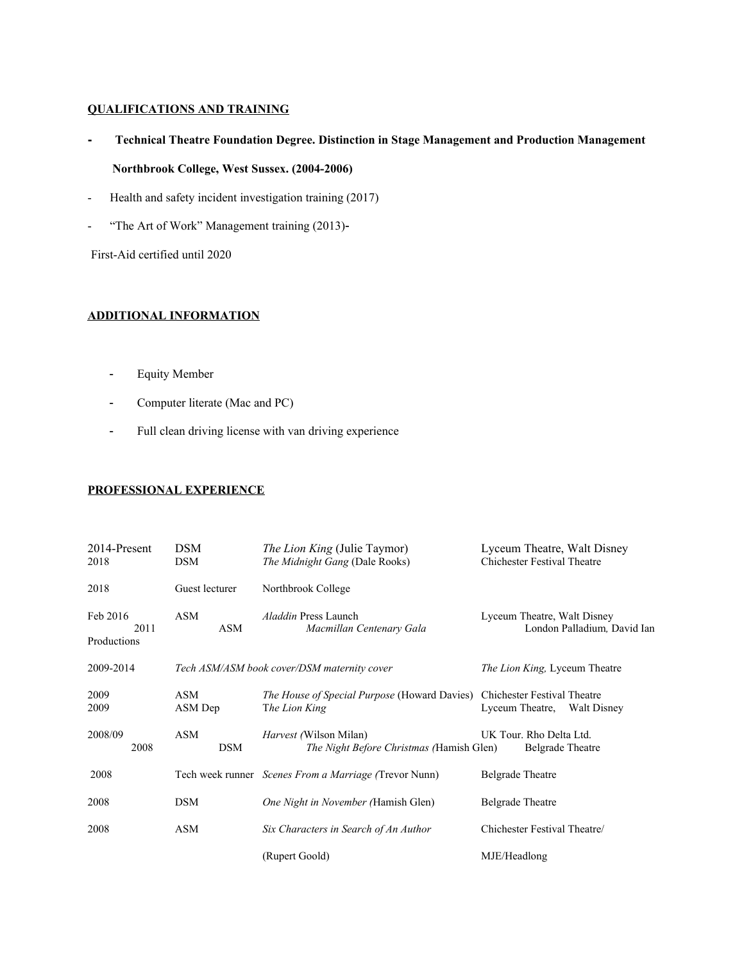## **QUALIFICATIONS AND TRAINING**

- **Technical Theatre Foundation Degree. Distinction in Stage Management and Production Management Northbrook College, West Sussex. (2004-2006)**
- Health and safety incident investigation training (2017)
- "The Art of Work" Management training (2013)-

First-Aid certified until 2020

## **ADDITIONAL INFORMATION**

- Equity Member
- Computer literate (Mac and PC)
- Full clean driving license with van driving experience

## **PROFESSIONAL EXPERIENCE**

| 2014-Present<br>2018            | <b>DSM</b><br>DSM | <i>The Lion King (Julie Taymor)</i><br>The Midnight Gang (Dale Rooks)                     | Lyceum Theatre, Walt Disney<br><b>Chichester Festival Theatre</b> |
|---------------------------------|-------------------|-------------------------------------------------------------------------------------------|-------------------------------------------------------------------|
| 2018                            | Guest lecturer    | Northbrook College                                                                        |                                                                   |
| Feb 2016<br>2011<br>Productions | ASM<br>ASM        | <i>Aladdin</i> Press Launch<br>Macmillan Centenary Gala                                   | Lyceum Theatre, Walt Disney<br>London Palladium, David Ian        |
| 2009-2014                       |                   | Tech ASM/ASM book cover/DSM maternity cover                                               | <i>The Lion King, Lyceum Theatre</i>                              |
| 2009<br>2009                    | ASM<br>ASM Dep    | The House of Special Purpose (Howard Davies) Chichester Festival Theatre<br>The Lion King | Lyceum Theatre, Walt Disney                                       |
| 2008/09<br>2008                 | ASM<br><b>DSM</b> | <i>Harvest</i> (Wilson Milan)<br>The Night Before Christmas (Hamish Glen)                 | UK Tour. Rho Delta Ltd.<br><b>Belgrade</b> Theatre                |
| 2008                            |                   | Tech week runner Scenes From a Marriage (Trevor Nunn)                                     | <b>Belgrade Theatre</b>                                           |
| 2008                            | DSM               | One Night in November (Hamish Glen)                                                       | <b>Belgrade</b> Theatre                                           |
| 2008                            | ASM               | Six Characters in Search of An Author                                                     | Chichester Festival Theatre/                                      |
|                                 |                   | (Rupert Goold)                                                                            | MJE/Headlong                                                      |